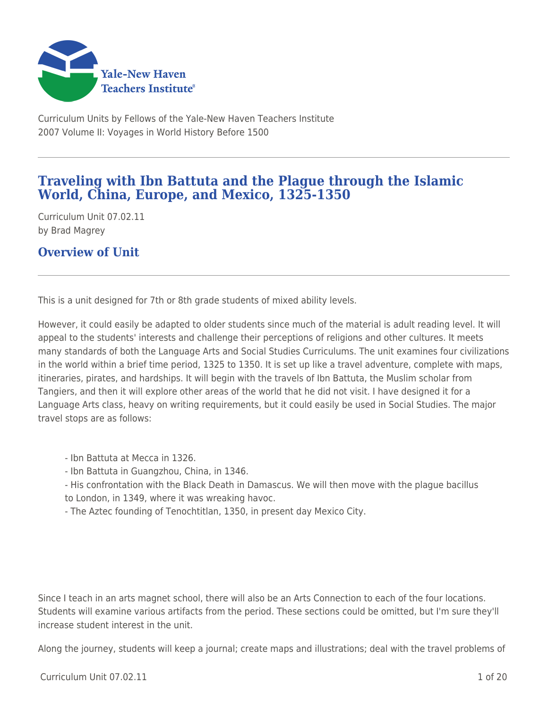

Curriculum Units by Fellows of the Yale-New Haven Teachers Institute 2007 Volume II: Voyages in World History Before 1500

## **Traveling with Ibn Battuta and the Plague through the Islamic World, China, Europe, and Mexico, 1325-1350**

Curriculum Unit 07.02.11 by Brad Magrey

**Overview of Unit**

This is a unit designed for 7th or 8th grade students of mixed ability levels.

However, it could easily be adapted to older students since much of the material is adult reading level. It will appeal to the students' interests and challenge their perceptions of religions and other cultures. It meets many standards of both the Language Arts and Social Studies Curriculums. The unit examines four civilizations in the world within a brief time period, 1325 to 1350. It is set up like a travel adventure, complete with maps, itineraries, pirates, and hardships. It will begin with the travels of Ibn Battuta, the Muslim scholar from Tangiers, and then it will explore other areas of the world that he did not visit. I have designed it for a Language Arts class, heavy on writing requirements, but it could easily be used in Social Studies. The major travel stops are as follows:

- Ibn Battuta at Mecca in 1326.

- Ibn Battuta in Guangzhou, China, in 1346.
- His confrontation with the Black Death in Damascus. We will then move with the plague bacillus to London, in 1349, where it was wreaking havoc.
- The Aztec founding of Tenochtitlan, 1350, in present day Mexico City.

Since I teach in an arts magnet school, there will also be an Arts Connection to each of the four locations. Students will examine various artifacts from the period. These sections could be omitted, but I'm sure they'll increase student interest in the unit.

Along the journey, students will keep a journal; create maps and illustrations; deal with the travel problems of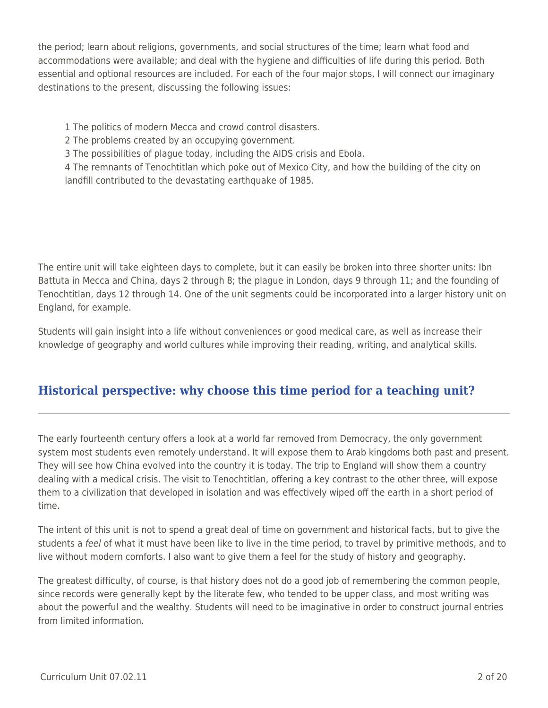the period; learn about religions, governments, and social structures of the time; learn what food and accommodations were available; and deal with the hygiene and difficulties of life during this period. Both essential and optional resources are included. For each of the four major stops, I will connect our imaginary destinations to the present, discussing the following issues:

- 1 The politics of modern Mecca and crowd control disasters.
- 2 The problems created by an occupying government.
- 3 The possibilities of plague today, including the AIDS crisis and Ebola.

4 The remnants of Tenochtitlan which poke out of Mexico City, and how the building of the city on landfill contributed to the devastating earthquake of 1985.

The entire unit will take eighteen days to complete, but it can easily be broken into three shorter units: Ibn Battuta in Mecca and China, days 2 through 8; the plague in London, days 9 through 11; and the founding of Tenochtitlan, days 12 through 14. One of the unit segments could be incorporated into a larger history unit on England, for example.

Students will gain insight into a life without conveniences or good medical care, as well as increase their knowledge of geography and world cultures while improving their reading, writing, and analytical skills.

# **Historical perspective: why choose this time period for a teaching unit?**

The early fourteenth century offers a look at a world far removed from Democracy, the only government system most students even remotely understand. It will expose them to Arab kingdoms both past and present. They will see how China evolved into the country it is today. The trip to England will show them a country dealing with a medical crisis. The visit to Tenochtitlan, offering a key contrast to the other three, will expose them to a civilization that developed in isolation and was effectively wiped off the earth in a short period of time.

The intent of this unit is not to spend a great deal of time on government and historical facts, but to give the students a feel of what it must have been like to live in the time period, to travel by primitive methods, and to live without modern comforts. I also want to give them a feel for the study of history and geography.

The greatest difficulty, of course, is that history does not do a good job of remembering the common people, since records were generally kept by the literate few, who tended to be upper class, and most writing was about the powerful and the wealthy. Students will need to be imaginative in order to construct journal entries from limited information.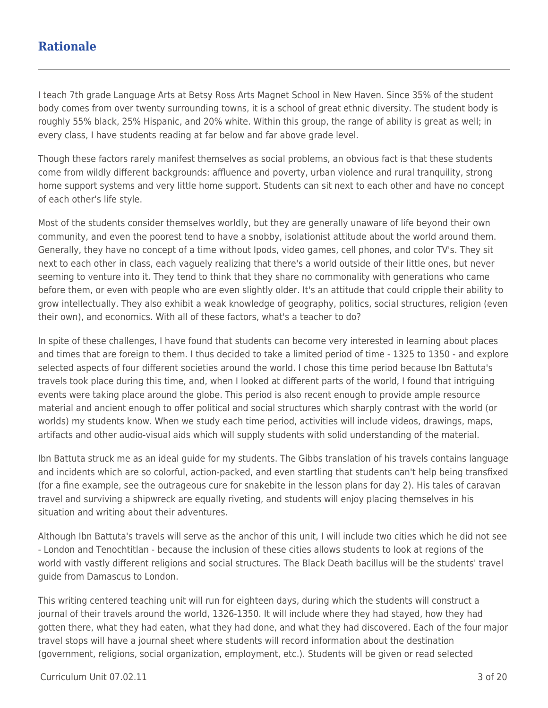## **Rationale**

I teach 7th grade Language Arts at Betsy Ross Arts Magnet School in New Haven. Since 35% of the student body comes from over twenty surrounding towns, it is a school of great ethnic diversity. The student body is roughly 55% black, 25% Hispanic, and 20% white. Within this group, the range of ability is great as well; in every class, I have students reading at far below and far above grade level.

Though these factors rarely manifest themselves as social problems, an obvious fact is that these students come from wildly different backgrounds: affluence and poverty, urban violence and rural tranquility, strong home support systems and very little home support. Students can sit next to each other and have no concept of each other's life style.

Most of the students consider themselves worldly, but they are generally unaware of life beyond their own community, and even the poorest tend to have a snobby, isolationist attitude about the world around them. Generally, they have no concept of a time without Ipods, video games, cell phones, and color TV's. They sit next to each other in class, each vaguely realizing that there's a world outside of their little ones, but never seeming to venture into it. They tend to think that they share no commonality with generations who came before them, or even with people who are even slightly older. It's an attitude that could cripple their ability to grow intellectually. They also exhibit a weak knowledge of geography, politics, social structures, religion (even their own), and economics. With all of these factors, what's a teacher to do?

In spite of these challenges, I have found that students can become very interested in learning about places and times that are foreign to them. I thus decided to take a limited period of time - 1325 to 1350 - and explore selected aspects of four different societies around the world. I chose this time period because Ibn Battuta's travels took place during this time, and, when I looked at different parts of the world, I found that intriguing events were taking place around the globe. This period is also recent enough to provide ample resource material and ancient enough to offer political and social structures which sharply contrast with the world (or worlds) my students know. When we study each time period, activities will include videos, drawings, maps, artifacts and other audio-visual aids which will supply students with solid understanding of the material.

Ibn Battuta struck me as an ideal guide for my students. The Gibbs translation of his travels contains language and incidents which are so colorful, action-packed, and even startling that students can't help being transfixed (for a fine example, see the outrageous cure for snakebite in the lesson plans for day 2). His tales of caravan travel and surviving a shipwreck are equally riveting, and students will enjoy placing themselves in his situation and writing about their adventures.

Although Ibn Battuta's travels will serve as the anchor of this unit, I will include two cities which he did not see - London and Tenochtitlan - because the inclusion of these cities allows students to look at regions of the world with vastly different religions and social structures. The Black Death bacillus will be the students' travel guide from Damascus to London.

This writing centered teaching unit will run for eighteen days, during which the students will construct a journal of their travels around the world, 1326-1350. It will include where they had stayed, how they had gotten there, what they had eaten, what they had done, and what they had discovered. Each of the four major travel stops will have a journal sheet where students will record information about the destination (government, religions, social organization, employment, etc.). Students will be given or read selected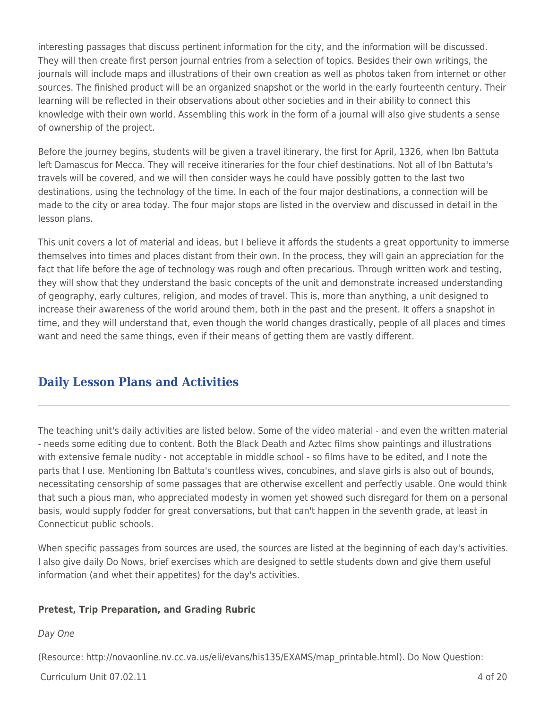interesting passages that discuss pertinent information for the city, and the information will be discussed. They will then create first person journal entries from a selection of topics. Besides their own writings, the journals will include maps and illustrations of their own creation as well as photos taken from internet or other sources. The finished product will be an organized snapshot or the world in the early fourteenth century. Their learning will be reflected in their observations about other societies and in their ability to connect this knowledge with their own world. Assembling this work in the form of a journal will also give students a sense of ownership of the project.

Before the journey begins, students will be given a travel itinerary, the first for April, 1326, when Ibn Battuta left Damascus for Mecca. They will receive itineraries for the four chief destinations. Not all of Ibn Battuta's travels will be covered, and we will then consider ways he could have possibly gotten to the last two destinations, using the technology of the time. In each of the four major destinations, a connection will be made to the city or area today. The four major stops are listed in the overview and discussed in detail in the lesson plans.

This unit covers a lot of material and ideas, but I believe it affords the students a great opportunity to immerse themselves into times and places distant from their own. In the process, they will gain an appreciation for the fact that life before the age of technology was rough and often precarious. Through written work and testing, they will show that they understand the basic concepts of the unit and demonstrate increased understanding of geography, early cultures, religion, and modes of travel. This is, more than anything, a unit designed to increase their awareness of the world around them, both in the past and the present. It offers a snapshot in time, and they will understand that, even though the world changes drastically, people of all places and times want and need the same things, even if their means of getting them are vastly different.

# **Daily Lesson Plans and Activities**

The teaching unit's daily activities are listed below. Some of the video material - and even the written material - needs some editing due to content. Both the Black Death and Aztec films show paintings and illustrations with extensive female nudity - not acceptable in middle school - so films have to be edited, and I note the parts that I use. Mentioning Ibn Battuta's countless wives, concubines, and slave girls is also out of bounds, necessitating censorship of some passages that are otherwise excellent and perfectly usable. One would think that such a pious man, who appreciated modesty in women yet showed such disregard for them on a personal basis, would supply fodder for great conversations, but that can't happen in the seventh grade, at least in Connecticut public schools.

When specific passages from sources are used, the sources are listed at the beginning of each day's activities. I also give daily Do Nows, brief exercises which are designed to settle students down and give them useful information (and whet their appetites) for the day's activities.

### **Pretest, Trip Preparation, and Grading Rubric**

### Day One

(Resource: http://novaonline.nv.cc.va.us/eli/evans/his135/EXAMS/map\_printable.html). Do Now Question: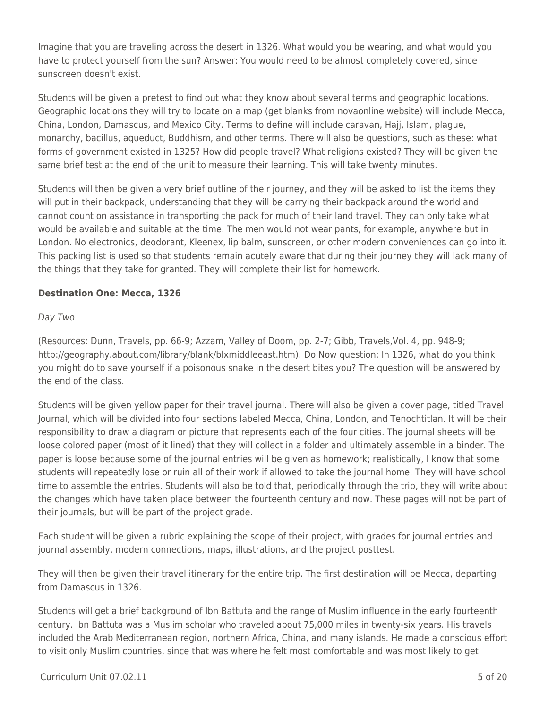Imagine that you are traveling across the desert in 1326. What would you be wearing, and what would you have to protect yourself from the sun? Answer: You would need to be almost completely covered, since sunscreen doesn't exist.

Students will be given a pretest to find out what they know about several terms and geographic locations. Geographic locations they will try to locate on a map (get blanks from novaonline website) will include Mecca, China, London, Damascus, and Mexico City. Terms to define will include caravan, Hajj, Islam, plague, monarchy, bacillus, aqueduct, Buddhism, and other terms. There will also be questions, such as these: what forms of government existed in 1325? How did people travel? What religions existed? They will be given the same brief test at the end of the unit to measure their learning. This will take twenty minutes.

Students will then be given a very brief outline of their journey, and they will be asked to list the items they will put in their backpack, understanding that they will be carrying their backpack around the world and cannot count on assistance in transporting the pack for much of their land travel. They can only take what would be available and suitable at the time. The men would not wear pants, for example, anywhere but in London. No electronics, deodorant, Kleenex, lip balm, sunscreen, or other modern conveniences can go into it. This packing list is used so that students remain acutely aware that during their journey they will lack many of the things that they take for granted. They will complete their list for homework.

### **Destination One: Mecca, 1326**

### Day Two

(Resources: Dunn, Travels, pp. 66-9; Azzam, Valley of Doom, pp. 2-7; Gibb, Travels,Vol. 4, pp. 948-9; http://geography.about.com/library/blank/blxmiddleeast.htm). Do Now question: In 1326, what do you think you might do to save yourself if a poisonous snake in the desert bites you? The question will be answered by the end of the class.

Students will be given yellow paper for their travel journal. There will also be given a cover page, titled Travel Journal, which will be divided into four sections labeled Mecca, China, London, and Tenochtitlan. It will be their responsibility to draw a diagram or picture that represents each of the four cities. The journal sheets will be loose colored paper (most of it lined) that they will collect in a folder and ultimately assemble in a binder. The paper is loose because some of the journal entries will be given as homework; realistically, I know that some students will repeatedly lose or ruin all of their work if allowed to take the journal home. They will have school time to assemble the entries. Students will also be told that, periodically through the trip, they will write about the changes which have taken place between the fourteenth century and now. These pages will not be part of their journals, but will be part of the project grade.

Each student will be given a rubric explaining the scope of their project, with grades for journal entries and journal assembly, modern connections, maps, illustrations, and the project posttest.

They will then be given their travel itinerary for the entire trip. The first destination will be Mecca, departing from Damascus in 1326.

Students will get a brief background of Ibn Battuta and the range of Muslim influence in the early fourteenth century. Ibn Battuta was a Muslim scholar who traveled about 75,000 miles in twenty-six years. His travels included the Arab Mediterranean region, northern Africa, China, and many islands. He made a conscious effort to visit only Muslim countries, since that was where he felt most comfortable and was most likely to get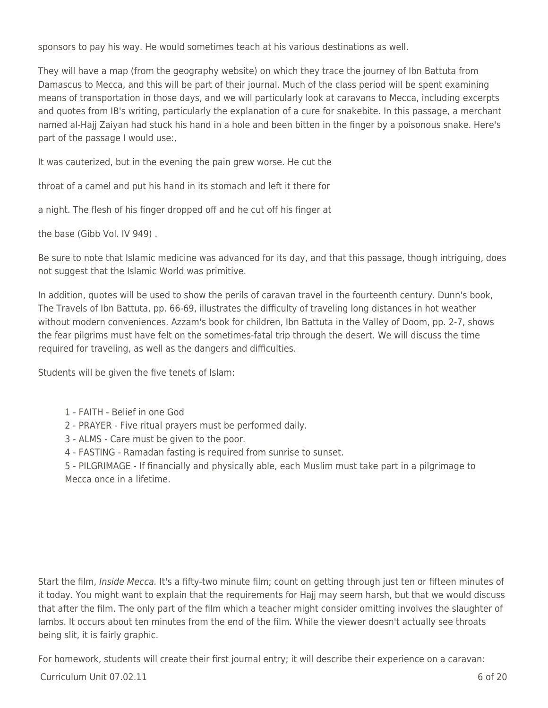sponsors to pay his way. He would sometimes teach at his various destinations as well.

They will have a map (from the geography website) on which they trace the journey of Ibn Battuta from Damascus to Mecca, and this will be part of their journal. Much of the class period will be spent examining means of transportation in those days, and we will particularly look at caravans to Mecca, including excerpts and quotes from IB's writing, particularly the explanation of a cure for snakebite. In this passage, a merchant named al-Hajj Zaiyan had stuck his hand in a hole and been bitten in the finger by a poisonous snake. Here's part of the passage I would use:,

It was cauterized, but in the evening the pain grew worse. He cut the

throat of a camel and put his hand in its stomach and left it there for

a night. The flesh of his finger dropped off and he cut off his finger at

the base (Gibb Vol. IV 949) .

Be sure to note that Islamic medicine was advanced for its day, and that this passage, though intriguing, does not suggest that the Islamic World was primitive.

In addition, quotes will be used to show the perils of caravan travel in the fourteenth century. Dunn's book, The Travels of Ibn Battuta, pp. 66-69, illustrates the difficulty of traveling long distances in hot weather without modern conveniences. Azzam's book for children, Ibn Battuta in the Valley of Doom, pp. 2-7, shows the fear pilgrims must have felt on the sometimes-fatal trip through the desert. We will discuss the time required for traveling, as well as the dangers and difficulties.

Students will be given the five tenets of Islam:

- 1 FAITH Belief in one God
- 2 PRAYER Five ritual prayers must be performed daily.
- 3 ALMS Care must be given to the poor.
- 4 FASTING Ramadan fasting is required from sunrise to sunset.

5 - PILGRIMAGE - If financially and physically able, each Muslim must take part in a pilgrimage to Mecca once in a lifetime.

Start the film, *Inside Mecca.* It's a fifty-two minute film; count on getting through just ten or fifteen minutes of it today. You might want to explain that the requirements for Hajj may seem harsh, but that we would discuss that after the film. The only part of the film which a teacher might consider omitting involves the slaughter of lambs. It occurs about ten minutes from the end of the film. While the viewer doesn't actually see throats being slit, it is fairly graphic.

For homework, students will create their first journal entry; it will describe their experience on a caravan:

 $C$ urriculum Unit 07.02.11 6 of 20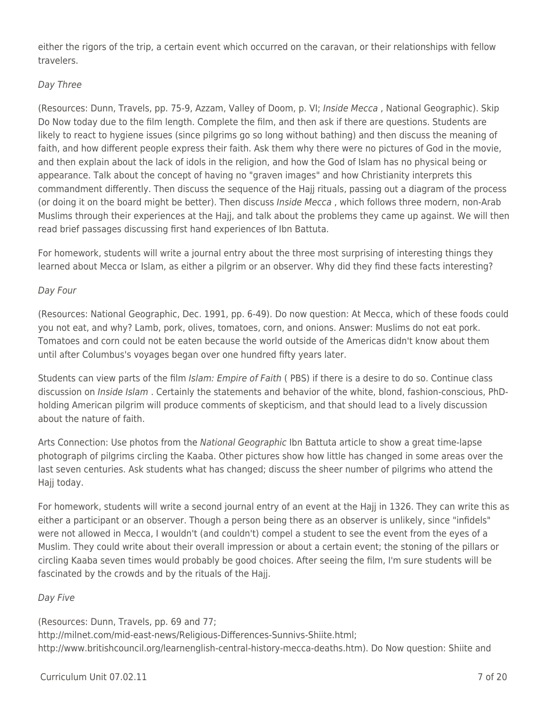either the rigors of the trip, a certain event which occurred on the caravan, or their relationships with fellow travelers.

### Day Three

(Resources: Dunn, Travels, pp. 75-9, Azzam, Valley of Doom, p. VI; Inside Mecca , National Geographic). Skip Do Now today due to the film length. Complete the film, and then ask if there are questions. Students are likely to react to hygiene issues (since pilgrims go so long without bathing) and then discuss the meaning of faith, and how different people express their faith. Ask them why there were no pictures of God in the movie, and then explain about the lack of idols in the religion, and how the God of Islam has no physical being or appearance. Talk about the concept of having no "graven images" and how Christianity interprets this commandment differently. Then discuss the sequence of the Hajj rituals, passing out a diagram of the process (or doing it on the board might be better). Then discuss Inside Mecca, which follows three modern, non-Arab Muslims through their experiences at the Hajj, and talk about the problems they came up against. We will then read brief passages discussing first hand experiences of Ibn Battuta.

For homework, students will write a journal entry about the three most surprising of interesting things they learned about Mecca or Islam, as either a pilgrim or an observer. Why did they find these facts interesting?

## Day Four

(Resources: National Geographic, Dec. 1991, pp. 6-49). Do now question: At Mecca, which of these foods could you not eat, and why? Lamb, pork, olives, tomatoes, corn, and onions. Answer: Muslims do not eat pork. Tomatoes and corn could not be eaten because the world outside of the Americas didn't know about them until after Columbus's voyages began over one hundred fifty years later.

Students can view parts of the film Islam: Empire of Faith ( PBS) if there is a desire to do so. Continue class discussion on *Inside Islam*. Certainly the statements and behavior of the white, blond, fashion-conscious, PhDholding American pilgrim will produce comments of skepticism, and that should lead to a lively discussion about the nature of faith.

Arts Connection: Use photos from the National Geographic Ibn Battuta article to show a great time-lapse photograph of pilgrims circling the Kaaba. Other pictures show how little has changed in some areas over the last seven centuries. Ask students what has changed; discuss the sheer number of pilgrims who attend the Hajj today.

For homework, students will write a second journal entry of an event at the Hajj in 1326. They can write this as either a participant or an observer. Though a person being there as an observer is unlikely, since "infidels" were not allowed in Mecca, I wouldn't (and couldn't) compel a student to see the event from the eyes of a Muslim. They could write about their overall impression or about a certain event; the stoning of the pillars or circling Kaaba seven times would probably be good choices. After seeing the film, I'm sure students will be fascinated by the crowds and by the rituals of the Hajj.

### Day Five

(Resources: Dunn, Travels, pp. 69 and 77; http://milnet.com/mid-east-news/Religious-Differences-Sunnivs-Shiite.html; http://www.britishcouncil.org/learnenglish-central-history-mecca-deaths.htm). Do Now question: Shiite and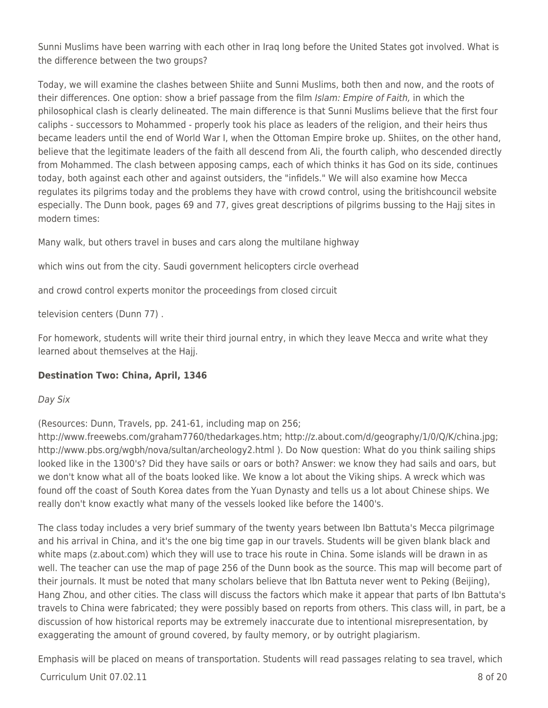Sunni Muslims have been warring with each other in Iraq long before the United States got involved. What is the difference between the two groups?

Today, we will examine the clashes between Shiite and Sunni Muslims, both then and now, and the roots of their differences. One option: show a brief passage from the film Islam: Empire of Faith, in which the philosophical clash is clearly delineated. The main difference is that Sunni Muslims believe that the first four caliphs - successors to Mohammed - properly took his place as leaders of the religion, and their heirs thus became leaders until the end of World War I, when the Ottoman Empire broke up. Shiites, on the other hand, believe that the legitimate leaders of the faith all descend from Ali, the fourth caliph, who descended directly from Mohammed. The clash between apposing camps, each of which thinks it has God on its side, continues today, both against each other and against outsiders, the "infidels." We will also examine how Mecca regulates its pilgrims today and the problems they have with crowd control, using the britishcouncil website especially. The Dunn book, pages 69 and 77, gives great descriptions of pilgrims bussing to the Hajj sites in modern times:

Many walk, but others travel in buses and cars along the multilane highway

which wins out from the city. Saudi government helicopters circle overhead

and crowd control experts monitor the proceedings from closed circuit

television centers (Dunn 77) .

For homework, students will write their third journal entry, in which they leave Mecca and write what they learned about themselves at the Hajj.

## **Destination Two: China, April, 1346**

### Day Six

(Resources: Dunn, Travels, pp. 241-61, including map on 256;

http://www.freewebs.com/graham7760/thedarkages.htm; http://z.about.com/d/geography/1/0/Q/K/china.jpg; http://www.pbs.org/wgbh/nova/sultan/archeology2.html ). Do Now question: What do you think sailing ships looked like in the 1300's? Did they have sails or oars or both? Answer: we know they had sails and oars, but we don't know what all of the boats looked like. We know a lot about the Viking ships. A wreck which was found off the coast of South Korea dates from the Yuan Dynasty and tells us a lot about Chinese ships. We really don't know exactly what many of the vessels looked like before the 1400's.

The class today includes a very brief summary of the twenty years between Ibn Battuta's Mecca pilgrimage and his arrival in China, and it's the one big time gap in our travels. Students will be given blank black and white maps (z.about.com) which they will use to trace his route in China. Some islands will be drawn in as well. The teacher can use the map of page 256 of the Dunn book as the source. This map will become part of their journals. It must be noted that many scholars believe that Ibn Battuta never went to Peking (Beijing), Hang Zhou, and other cities. The class will discuss the factors which make it appear that parts of Ibn Battuta's travels to China were fabricated; they were possibly based on reports from others. This class will, in part, be a discussion of how historical reports may be extremely inaccurate due to intentional misrepresentation, by exaggerating the amount of ground covered, by faulty memory, or by outright plagiarism.

 $C$ urriculum Unit 07.02.11  $\qquad \qquad$  8 of 20 Emphasis will be placed on means of transportation. Students will read passages relating to sea travel, which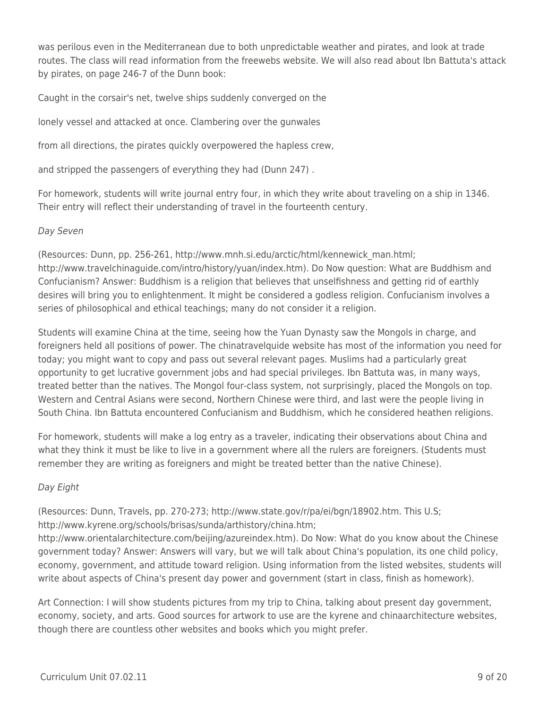was perilous even in the Mediterranean due to both unpredictable weather and pirates, and look at trade routes. The class will read information from the freewebs website. We will also read about Ibn Battuta's attack by pirates, on page 246-7 of the Dunn book:

Caught in the corsair's net, twelve ships suddenly converged on the

lonely vessel and attacked at once. Clambering over the gunwales

from all directions, the pirates quickly overpowered the hapless crew,

and stripped the passengers of everything they had (Dunn 247) .

For homework, students will write journal entry four, in which they write about traveling on a ship in 1346. Their entry will reflect their understanding of travel in the fourteenth century.

### Day Seven

(Resources: Dunn, pp. 256-261, http://www.mnh.si.edu/arctic/html/kennewick\_man.html; http://www.travelchinaguide.com/intro/history/yuan/index.htm). Do Now question: What are Buddhism and Confucianism? Answer: Buddhism is a religion that believes that unselfishness and getting rid of earthly desires will bring you to enlightenment. It might be considered a godless religion. Confucianism involves a series of philosophical and ethical teachings; many do not consider it a religion.

Students will examine China at the time, seeing how the Yuan Dynasty saw the Mongols in charge, and foreigners held all positions of power. The chinatravelquide website has most of the information you need for today; you might want to copy and pass out several relevant pages. Muslims had a particularly great opportunity to get lucrative government jobs and had special privileges. Ibn Battuta was, in many ways, treated better than the natives. The Mongol four-class system, not surprisingly, placed the Mongols on top. Western and Central Asians were second, Northern Chinese were third, and last were the people living in South China. Ibn Battuta encountered Confucianism and Buddhism, which he considered heathen religions.

For homework, students will make a log entry as a traveler, indicating their observations about China and what they think it must be like to live in a government where all the rulers are foreigners. (Students must remember they are writing as foreigners and might be treated better than the native Chinese).

## Day Eight

(Resources: Dunn, Travels, pp. 270-273; http://www.state.gov/r/pa/ei/bgn/18902.htm. This U.S; http://www.kyrene.org/schools/brisas/sunda/arthistory/china.htm;

http://www.orientalarchitecture.com/beijing/azureindex.htm). Do Now: What do you know about the Chinese government today? Answer: Answers will vary, but we will talk about China's population, its one child policy, economy, government, and attitude toward religion. Using information from the listed websites, students will write about aspects of China's present day power and government (start in class, finish as homework).

Art Connection: I will show students pictures from my trip to China, talking about present day government, economy, society, and arts. Good sources for artwork to use are the kyrene and chinaarchitecture websites, though there are countless other websites and books which you might prefer.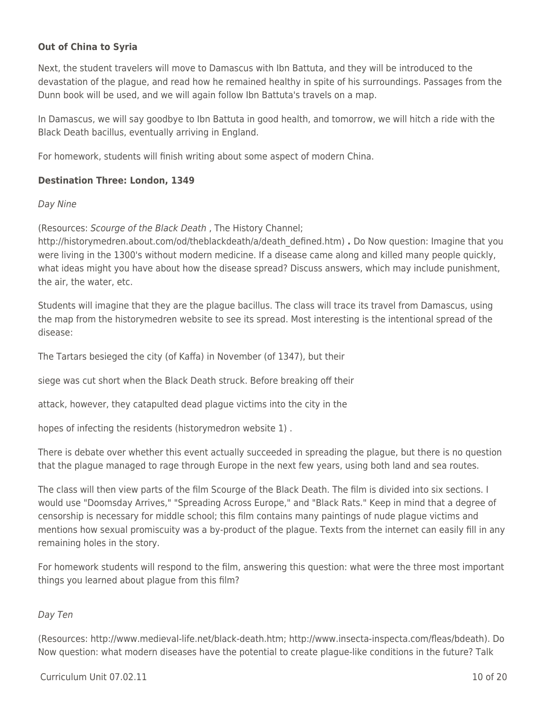### **Out of China to Syria**

Next, the student travelers will move to Damascus with Ibn Battuta, and they will be introduced to the devastation of the plague, and read how he remained healthy in spite of his surroundings. Passages from the Dunn book will be used, and we will again follow Ibn Battuta's travels on a map.

In Damascus, we will say goodbye to Ibn Battuta in good health, and tomorrow, we will hitch a ride with the Black Death bacillus, eventually arriving in England.

For homework, students will finish writing about some aspect of modern China.

#### **Destination Three: London, 1349**

#### Day Nine

(Resources: Scourge of the Black Death , The History Channel;

http://historymedren.about.com/od/theblackdeath/a/death\_defined.htm) **.** Do Now question: Imagine that you were living in the 1300's without modern medicine. If a disease came along and killed many people quickly, what ideas might you have about how the disease spread? Discuss answers, which may include punishment, the air, the water, etc.

Students will imagine that they are the plague bacillus. The class will trace its travel from Damascus, using the map from the historymedren website to see its spread. Most interesting is the intentional spread of the disease:

The Tartars besieged the city (of Kaffa) in November (of 1347), but their

siege was cut short when the Black Death struck. Before breaking off their

attack, however, they catapulted dead plague victims into the city in the

hopes of infecting the residents (historymedron website 1) .

There is debate over whether this event actually succeeded in spreading the plague, but there is no question that the plague managed to rage through Europe in the next few years, using both land and sea routes.

The class will then view parts of the film Scourge of the Black Death. The film is divided into six sections. I would use "Doomsday Arrives," "Spreading Across Europe," and "Black Rats." Keep in mind that a degree of censorship is necessary for middle school; this film contains many paintings of nude plague victims and mentions how sexual promiscuity was a by-product of the plague. Texts from the internet can easily fill in any remaining holes in the story.

For homework students will respond to the film, answering this question: what were the three most important things you learned about plague from this film?

### Day Ten

(Resources: http://www.medieval-life.net/black-death.htm; http://www.insecta-inspecta.com/fleas/bdeath). Do Now question: what modern diseases have the potential to create plague-like conditions in the future? Talk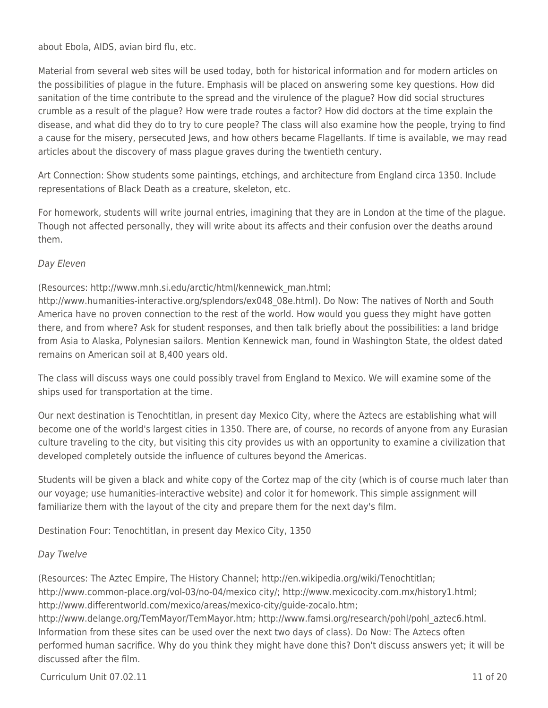about Ebola, AIDS, avian bird flu, etc.

Material from several web sites will be used today, both for historical information and for modern articles on the possibilities of plague in the future. Emphasis will be placed on answering some key questions. How did sanitation of the time contribute to the spread and the virulence of the plague? How did social structures crumble as a result of the plague? How were trade routes a factor? How did doctors at the time explain the disease, and what did they do to try to cure people? The class will also examine how the people, trying to find a cause for the misery, persecuted Jews, and how others became Flagellants. If time is available, we may read articles about the discovery of mass plague graves during the twentieth century.

Art Connection: Show students some paintings, etchings, and architecture from England circa 1350. Include representations of Black Death as a creature, skeleton, etc.

For homework, students will write journal entries, imagining that they are in London at the time of the plague. Though not affected personally, they will write about its affects and their confusion over the deaths around them.

### Day Eleven

(Resources: http://www.mnh.si.edu/arctic/html/kennewick\_man.html;

http://www.humanities-interactive.org/splendors/ex048\_08e.html). Do Now: The natives of North and South America have no proven connection to the rest of the world. How would you guess they might have gotten there, and from where? Ask for student responses, and then talk briefly about the possibilities: a land bridge from Asia to Alaska, Polynesian sailors. Mention Kennewick man, found in Washington State, the oldest dated remains on American soil at 8,400 years old.

The class will discuss ways one could possibly travel from England to Mexico. We will examine some of the ships used for transportation at the time.

Our next destination is Tenochtitlan, in present day Mexico City, where the Aztecs are establishing what will become one of the world's largest cities in 1350. There are, of course, no records of anyone from any Eurasian culture traveling to the city, but visiting this city provides us with an opportunity to examine a civilization that developed completely outside the influence of cultures beyond the Americas.

Students will be given a black and white copy of the Cortez map of the city (which is of course much later than our voyage; use humanities-interactive website) and color it for homework. This simple assignment will familiarize them with the layout of the city and prepare them for the next day's film.

Destination Four: Tenochtitlan, in present day Mexico City, 1350

#### Day Twelve

(Resources: The Aztec Empire, The History Channel; http://en.wikipedia.org/wiki/Tenochtitlan; http://www.common-place.org/vol-03/no-04/mexico city/; http://www.mexicocity.com.mx/history1.html; http://www.differentworld.com/mexico/areas/mexico-city/guide-zocalo.htm; http://www.delange.org/TemMayor/TemMayor.htm; http://www.famsi.org/research/pohl/pohl\_aztec6.html. Information from these sites can be used over the next two days of class). Do Now: The Aztecs often performed human sacrifice. Why do you think they might have done this? Don't discuss answers yet; it will be discussed after the film.

 $C$ urriculum Unit 07.02.11  $\qquad$  11 of 20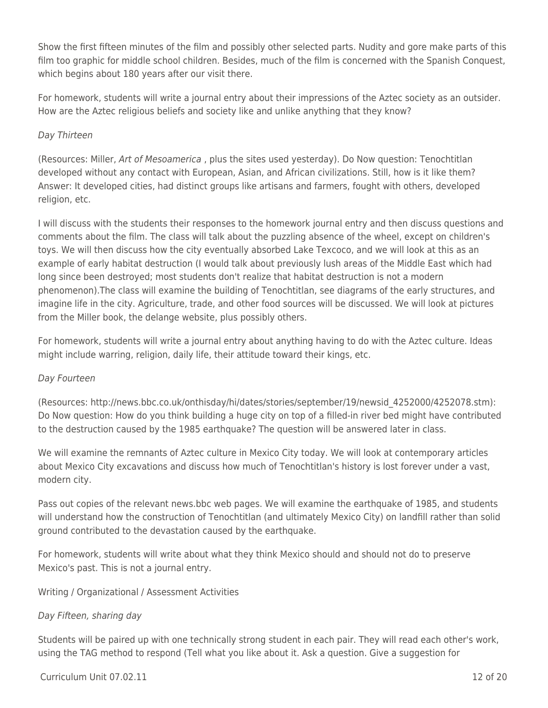Show the first fifteen minutes of the film and possibly other selected parts. Nudity and gore make parts of this film too graphic for middle school children. Besides, much of the film is concerned with the Spanish Conquest, which begins about 180 years after our visit there.

For homework, students will write a journal entry about their impressions of the Aztec society as an outsider. How are the Aztec religious beliefs and society like and unlike anything that they know?

### Day Thirteen

(Resources: Miller, Art of Mesoamerica , plus the sites used yesterday). Do Now question: Tenochtitlan developed without any contact with European, Asian, and African civilizations. Still, how is it like them? Answer: It developed cities, had distinct groups like artisans and farmers, fought with others, developed religion, etc.

I will discuss with the students their responses to the homework journal entry and then discuss questions and comments about the film. The class will talk about the puzzling absence of the wheel, except on children's toys. We will then discuss how the city eventually absorbed Lake Texcoco, and we will look at this as an example of early habitat destruction (I would talk about previously lush areas of the Middle East which had long since been destroyed; most students don't realize that habitat destruction is not a modern phenomenon).The class will examine the building of Tenochtitlan, see diagrams of the early structures, and imagine life in the city. Agriculture, trade, and other food sources will be discussed. We will look at pictures from the Miller book, the delange website, plus possibly others.

For homework, students will write a journal entry about anything having to do with the Aztec culture. Ideas might include warring, religion, daily life, their attitude toward their kings, etc.

### Day Fourteen

(Resources: http://news.bbc.co.uk/onthisday/hi/dates/stories/september/19/newsid\_4252000/4252078.stm): Do Now question: How do you think building a huge city on top of a filled-in river bed might have contributed to the destruction caused by the 1985 earthquake? The question will be answered later in class.

We will examine the remnants of Aztec culture in Mexico City today. We will look at contemporary articles about Mexico City excavations and discuss how much of Tenochtitlan's history is lost forever under a vast, modern city.

Pass out copies of the relevant news.bbc web pages. We will examine the earthquake of 1985, and students will understand how the construction of Tenochtitlan (and ultimately Mexico City) on landfill rather than solid ground contributed to the devastation caused by the earthquake.

For homework, students will write about what they think Mexico should and should not do to preserve Mexico's past. This is not a journal entry.

#### Writing / Organizational / Assessment Activities

### Day Fifteen, sharing day

Students will be paired up with one technically strong student in each pair. They will read each other's work, using the TAG method to respond (Tell what you like about it. Ask a question. Give a suggestion for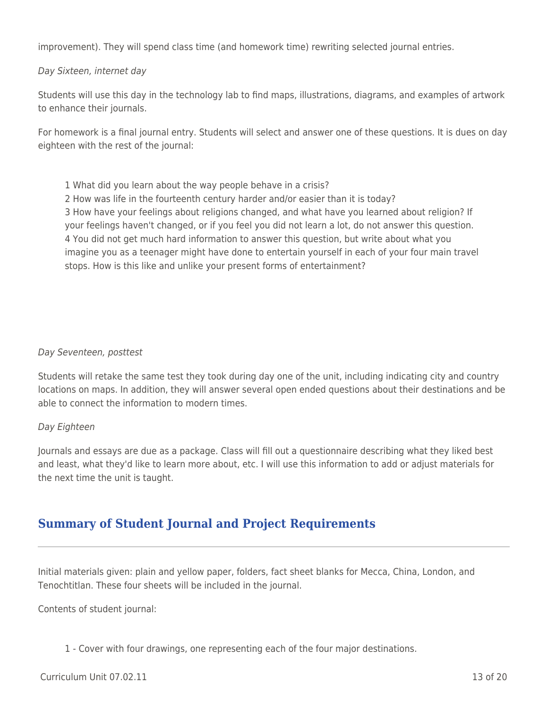improvement). They will spend class time (and homework time) rewriting selected journal entries.

#### Day Sixteen, internet day

Students will use this day in the technology lab to find maps, illustrations, diagrams, and examples of artwork to enhance their journals.

For homework is a final journal entry. Students will select and answer one of these questions. It is dues on day eighteen with the rest of the journal:

1 What did you learn about the way people behave in a crisis?

2 How was life in the fourteenth century harder and/or easier than it is today? 3 How have your feelings about religions changed, and what have you learned about religion? If your feelings haven't changed, or if you feel you did not learn a lot, do not answer this question. 4 You did not get much hard information to answer this question, but write about what you imagine you as a teenager might have done to entertain yourself in each of your four main travel stops. How is this like and unlike your present forms of entertainment?

#### Day Seventeen, posttest

Students will retake the same test they took during day one of the unit, including indicating city and country locations on maps. In addition, they will answer several open ended questions about their destinations and be able to connect the information to modern times.

#### Day Eighteen

Journals and essays are due as a package. Class will fill out a questionnaire describing what they liked best and least, what they'd like to learn more about, etc. I will use this information to add or adjust materials for the next time the unit is taught.

# **Summary of Student Journal and Project Requirements**

Initial materials given: plain and yellow paper, folders, fact sheet blanks for Mecca, China, London, and Tenochtitlan. These four sheets will be included in the journal.

Contents of student journal:

1 - Cover with four drawings, one representing each of the four major destinations.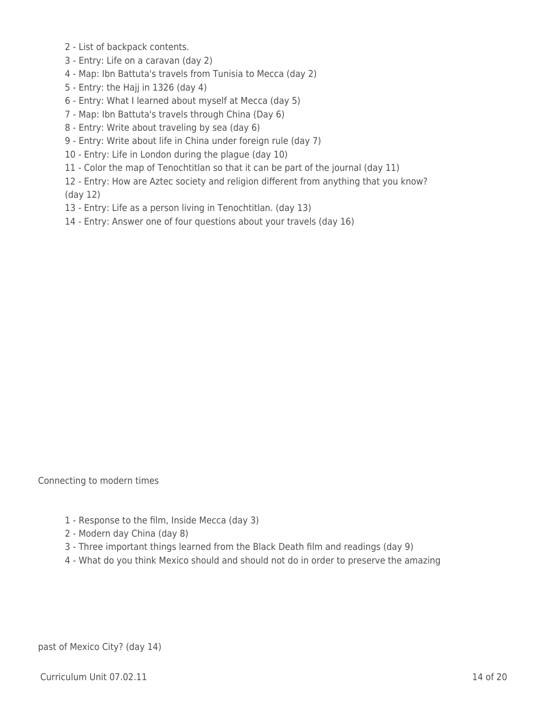- 2 List of backpack contents.
- 3 Entry: Life on a caravan (day 2)
- 4 Map: Ibn Battuta's travels from Tunisia to Mecca (day 2)
- 5 Entry: the Hajj in 1326 (day 4)
- 6 Entry: What I learned about myself at Mecca (day 5)
- 7 Map: Ibn Battuta's travels through China (Day 6)
- 8 Entry: Write about traveling by sea (day 6)
- 9 Entry: Write about life in China under foreign rule (day 7)
- 10 Entry: Life in London during the plague (day 10)
- 11 Color the map of Tenochtitlan so that it can be part of the journal (day 11)
- 12 Entry: How are Aztec society and religion different from anything that you know? (day 12)
- 13 Entry: Life as a person living in Tenochtitlan. (day 13)
- 14 Entry: Answer one of four questions about your travels (day 16)

Connecting to modern times

- 1 Response to the film, Inside Mecca (day 3)
- 2 Modern day China (day 8)
- 3 Three important things learned from the Black Death film and readings (day 9)
- 4 What do you think Mexico should and should not do in order to preserve the amazing

past of Mexico City? (day 14)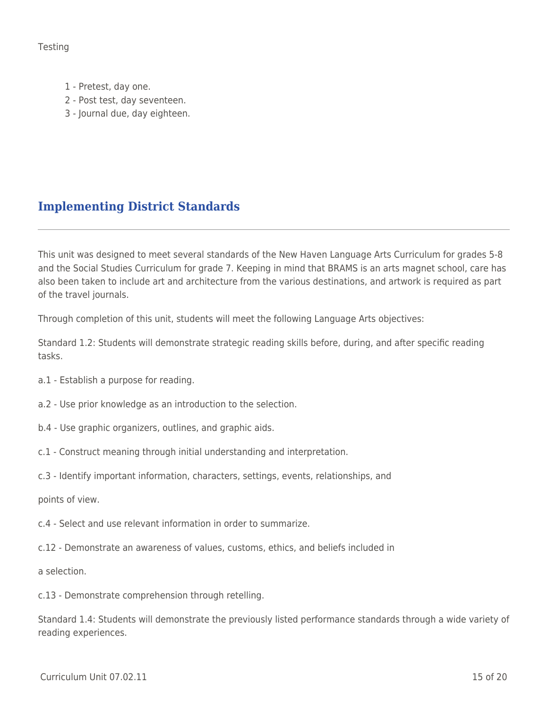**Testing** 

- 1 Pretest, day one.
- 2 Post test, day seventeen.
- 3 Journal due, day eighteen.

# **Implementing District Standards**

This unit was designed to meet several standards of the New Haven Language Arts Curriculum for grades 5-8 and the Social Studies Curriculum for grade 7. Keeping in mind that BRAMS is an arts magnet school, care has also been taken to include art and architecture from the various destinations, and artwork is required as part of the travel journals.

Through completion of this unit, students will meet the following Language Arts objectives:

Standard 1.2: Students will demonstrate strategic reading skills before, during, and after specific reading tasks.

- a.1 Establish a purpose for reading.
- a.2 Use prior knowledge as an introduction to the selection.
- b.4 Use graphic organizers, outlines, and graphic aids.
- c.1 Construct meaning through initial understanding and interpretation.
- c.3 Identify important information, characters, settings, events, relationships, and

points of view.

- c.4 Select and use relevant information in order to summarize.
- c.12 Demonstrate an awareness of values, customs, ethics, and beliefs included in

a selection.

c.13 - Demonstrate comprehension through retelling.

Standard 1.4: Students will demonstrate the previously listed performance standards through a wide variety of reading experiences.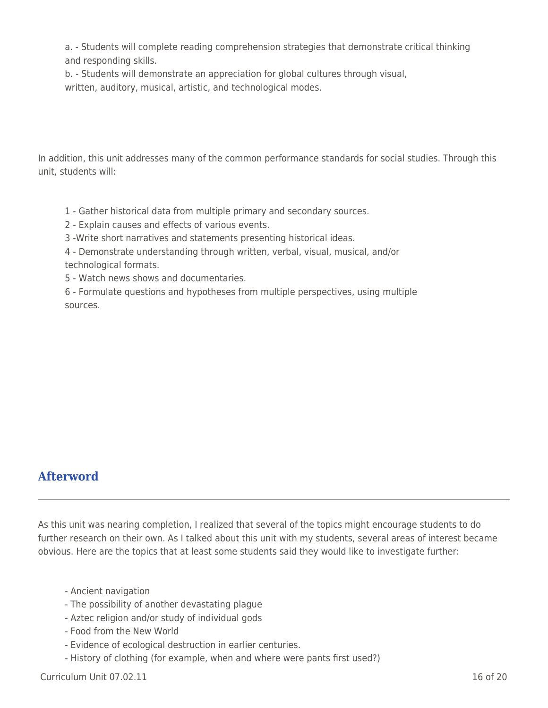a. - Students will complete reading comprehension strategies that demonstrate critical thinking and responding skills.

b. - Students will demonstrate an appreciation for global cultures through visual,

written, auditory, musical, artistic, and technological modes.

In addition, this unit addresses many of the common performance standards for social studies. Through this unit, students will:

1 - Gather historical data from multiple primary and secondary sources.

2 - Explain causes and effects of various events.

3 -Write short narratives and statements presenting historical ideas.

4 - Demonstrate understanding through written, verbal, visual, musical, and/or technological formats.

5 - Watch news shows and documentaries.

6 - Formulate questions and hypotheses from multiple perspectives, using multiple sources.

# **Afterword**

As this unit was nearing completion, I realized that several of the topics might encourage students to do further research on their own. As I talked about this unit with my students, several areas of interest became obvious. Here are the topics that at least some students said they would like to investigate further:

- Ancient navigation
- The possibility of another devastating plague
- Aztec religion and/or study of individual gods
- Food from the New World
- Evidence of ecological destruction in earlier centuries.
- History of clothing (for example, when and where were pants first used?)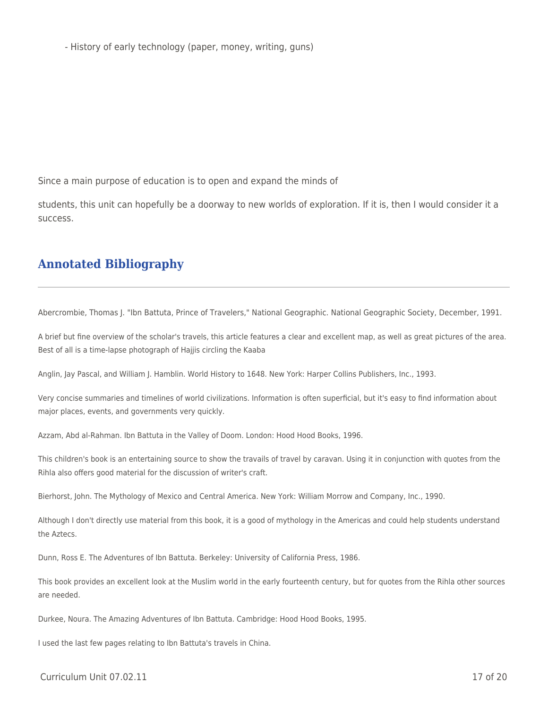- History of early technology (paper, money, writing, guns)

Since a main purpose of education is to open and expand the minds of

students, this unit can hopefully be a doorway to new worlds of exploration. If it is, then I would consider it a success.

# **Annotated Bibliography**

Abercrombie, Thomas J. "Ibn Battuta, Prince of Travelers," National Geographic. National Geographic Society, December, 1991.

A brief but fine overview of the scholar's travels, this article features a clear and excellent map, as well as great pictures of the area. Best of all is a time-lapse photograph of Hajjis circling the Kaaba

Anglin, Jay Pascal, and William J. Hamblin. World History to 1648. New York: Harper Collins Publishers, Inc., 1993.

Very concise summaries and timelines of world civilizations. Information is often superficial, but it's easy to find information about major places, events, and governments very quickly.

Azzam, Abd al-Rahman. Ibn Battuta in the Valley of Doom. London: Hood Hood Books, 1996.

This children's book is an entertaining source to show the travails of travel by caravan. Using it in conjunction with quotes from the Rihla also offers good material for the discussion of writer's craft.

Bierhorst, John. The Mythology of Mexico and Central America. New York: William Morrow and Company, Inc., 1990.

Although I don't directly use material from this book, it is a good of mythology in the Americas and could help students understand the Aztecs.

Dunn, Ross E. The Adventures of Ibn Battuta. Berkeley: University of California Press, 1986.

This book provides an excellent look at the Muslim world in the early fourteenth century, but for quotes from the Rihla other sources are needed.

Durkee, Noura. The Amazing Adventures of Ibn Battuta. Cambridge: Hood Hood Books, 1995.

I used the last few pages relating to Ibn Battuta's travels in China.

 $C$ urriculum Unit 07.02.11  $\qquad \qquad$  17 of 20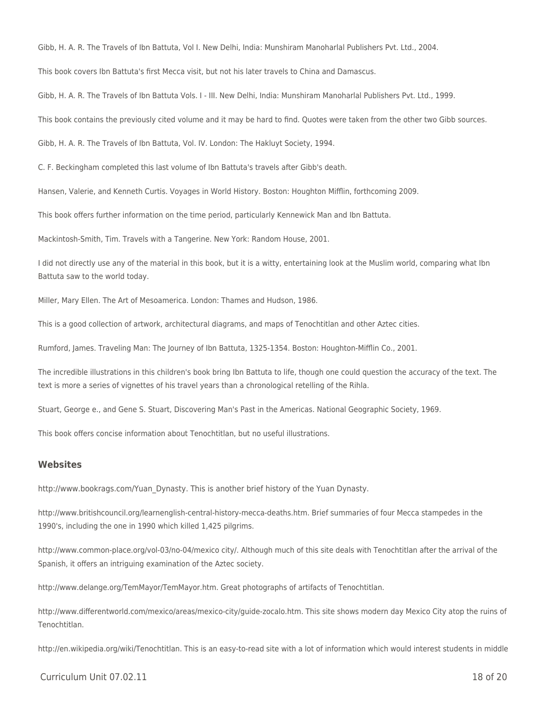Gibb, H. A. R. The Travels of Ibn Battuta, Vol I. New Delhi, India: Munshiram Manoharlal Publishers Pvt. Ltd., 2004.

This book covers Ibn Battuta's first Mecca visit, but not his later travels to China and Damascus.

Gibb, H. A. R. The Travels of Ibn Battuta Vols. I - III. New Delhi, India: Munshiram Manoharlal Publishers Pvt. Ltd., 1999.

This book contains the previously cited volume and it may be hard to find. Quotes were taken from the other two Gibb sources.

Gibb, H. A. R. The Travels of Ibn Battuta, Vol. IV. London: The Hakluyt Society, 1994.

C. F. Beckingham completed this last volume of Ibn Battuta's travels after Gibb's death.

Hansen, Valerie, and Kenneth Curtis. Voyages in World History. Boston: Houghton Mifflin, forthcoming 2009.

This book offers further information on the time period, particularly Kennewick Man and Ibn Battuta.

Mackintosh-Smith, Tim. Travels with a Tangerine. New York: Random House, 2001.

I did not directly use any of the material in this book, but it is a witty, entertaining look at the Muslim world, comparing what Ibn Battuta saw to the world today.

Miller, Mary Ellen. The Art of Mesoamerica. London: Thames and Hudson, 1986.

This is a good collection of artwork, architectural diagrams, and maps of Tenochtitlan and other Aztec cities.

Rumford, James. Traveling Man: The Journey of Ibn Battuta, 1325-1354. Boston: Houghton-Mifflin Co., 2001.

The incredible illustrations in this children's book bring Ibn Battuta to life, though one could question the accuracy of the text. The text is more a series of vignettes of his travel years than a chronological retelling of the Rihla.

Stuart, George e., and Gene S. Stuart, Discovering Man's Past in the Americas. National Geographic Society, 1969.

This book offers concise information about Tenochtitlan, but no useful illustrations.

#### **Websites**

http://www.bookrags.com/Yuan\_Dynasty. This is another brief history of the Yuan Dynasty.

http://www.britishcouncil.org/learnenglish-central-history-mecca-deaths.htm. Brief summaries of four Mecca stampedes in the 1990's, including the one in 1990 which killed 1,425 pilgrims.

http://www.common-place.org/vol-03/no-04/mexico city/. Although much of this site deals with Tenochtitlan after the arrival of the Spanish, it offers an intriguing examination of the Aztec society.

http://www.delange.org/TemMayor/TemMayor.htm. Great photographs of artifacts of Tenochtitlan.

http://www.differentworld.com/mexico/areas/mexico-city/guide-zocalo.htm. This site shows modern day Mexico City atop the ruins of Tenochtitlan.

http://en.wikipedia.org/wiki/Tenochtitlan. This is an easy-to-read site with a lot of information which would interest students in middle

#### $C$ urriculum Unit 07.02.11 18 of 20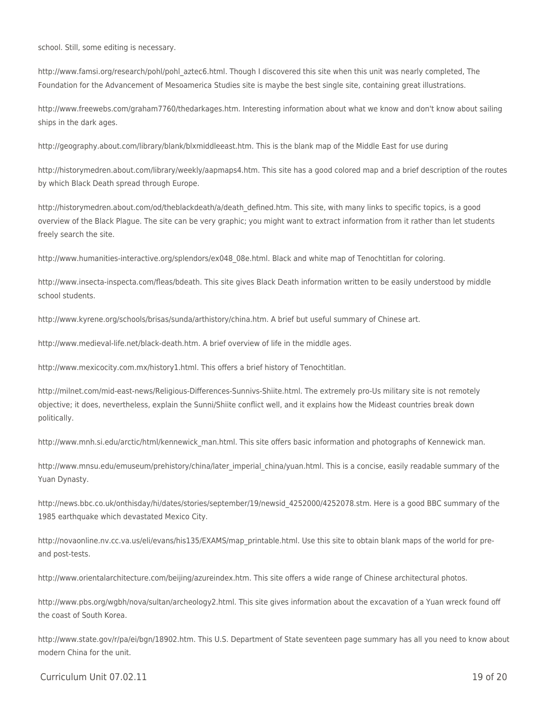school. Still, some editing is necessary.

http://www.famsi.org/research/pohl/pohl\_aztec6.html. Though I discovered this site when this unit was nearly completed, The Foundation for the Advancement of Mesoamerica Studies site is maybe the best single site, containing great illustrations.

http://www.freewebs.com/graham7760/thedarkages.htm. Interesting information about what we know and don't know about sailing ships in the dark ages.

http://geography.about.com/library/blank/blxmiddleeast.htm. This is the blank map of the Middle East for use during

http://historymedren.about.com/library/weekly/aapmaps4.htm. This site has a good colored map and a brief description of the routes by which Black Death spread through Europe.

http://historymedren.about.com/od/theblackdeath/a/death defined.htm. This site, with many links to specific topics, is a good overview of the Black Plague. The site can be very graphic; you might want to extract information from it rather than let students freely search the site.

http://www.humanities-interactive.org/splendors/ex048\_08e.html. Black and white map of Tenochtitlan for coloring.

http://www.insecta-inspecta.com/fleas/bdeath. This site gives Black Death information written to be easily understood by middle school students.

http://www.kyrene.org/schools/brisas/sunda/arthistory/china.htm. A brief but useful summary of Chinese art.

http://www.medieval-life.net/black-death.htm. A brief overview of life in the middle ages.

http://www.mexicocity.com.mx/history1.html. This offers a brief history of Tenochtitlan.

http://milnet.com/mid-east-news/Religious-Differences-Sunnivs-Shiite.html. The extremely pro-Us military site is not remotely objective; it does, nevertheless, explain the Sunni/Shiite conflict well, and it explains how the Mideast countries break down politically.

http://www.mnh.si.edu/arctic/html/kennewick man.html. This site offers basic information and photographs of Kennewick man.

http://www.mnsu.edu/emuseum/prehistory/china/later\_imperial\_china/yuan.html. This is a concise, easily readable summary of the Yuan Dynasty.

http://news.bbc.co.uk/onthisday/hi/dates/stories/september/19/newsid\_4252000/4252078.stm. Here is a good BBC summary of the 1985 earthquake which devastated Mexico City.

http://novaonline.nv.cc.va.us/eli/evans/his135/EXAMS/map\_printable.html. Use this site to obtain blank maps of the world for preand post-tests.

http://www.orientalarchitecture.com/beijing/azureindex.htm. This site offers a wide range of Chinese architectural photos.

http://www.pbs.org/wgbh/nova/sultan/archeology2.html. This site gives information about the excavation of a Yuan wreck found off the coast of South Korea.

http://www.state.gov/r/pa/ei/bgn/18902.htm. This U.S. Department of State seventeen page summary has all you need to know about modern China for the unit.

#### $C$ urriculum Unit 07.02.11 19 of 20